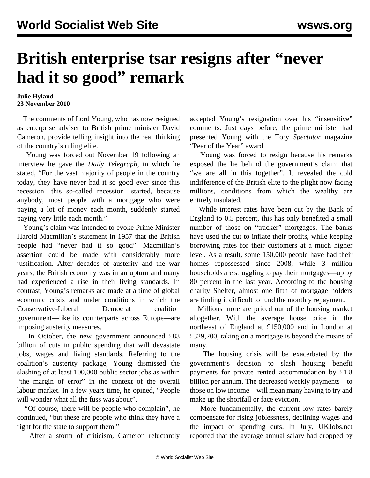## **British enterprise tsar resigns after "never had it so good" remark**

**Julie Hyland 23 November 2010**

 The comments of Lord Young, who has now resigned as enterprise adviser to British prime minister David Cameron, provide telling insight into the real thinking of the country's ruling elite.

 Young was forced out November 19 following an interview he gave the *Daily Telegraph*, in which he stated, "For the vast majority of people in the country today, they have never had it so good ever since this recession—this so-called recession—started, because anybody, most people with a mortgage who were paying a lot of money each month, suddenly started paying very little each month."

 Young's claim was intended to evoke Prime Minister Harold Macmillan's statement in 1957 that the British people had "never had it so good". Macmillan's assertion could be made with considerably more justification. After decades of austerity and the war years, the British economy was in an upturn and many had experienced a rise in their living standards. In contrast, Young's remarks are made at a time of global economic crisis and under conditions in which the Conservative-Liberal Democrat coalition government—like its counterparts across Europe—are imposing austerity measures.

 In October, the new government announced £83 billion of cuts in public spending that will devastate jobs, wages and living standards. Referring to the coalition's austerity package, Young dismissed the slashing of at least 100,000 public sector jobs as within "the margin of error" in the context of the overall labour market. In a few years time, he opined, "People will wonder what all the fuss was about".

 "Of course, there will be people who complain", he continued, "but these are people who think they have a right for the state to support them."

After a storm of criticism, Cameron reluctantly

accepted Young's resignation over his "insensitive" comments. Just days before, the prime minister had presented Young with the Tory *Spectator* magazine "Peer of the Year" award.

 Young was forced to resign because his remarks exposed the lie behind the government's claim that "we are all in this together". It revealed the cold indifference of the British elite to the plight now facing millions, conditions from which the wealthy are entirely insulated.

 While interest rates have been cut by the Bank of England to 0.5 percent, this has only benefited a small number of those on "tracker" mortgages. The banks have used the cut to inflate their profits, while keeping borrowing rates for their customers at a much higher level. As a result, some 150,000 people have had their homes repossessed since 2008, while 3 million households are struggling to pay their mortgages—up by 80 percent in the last year. According to the housing charity Shelter, almost one fifth of mortgage holders are finding it difficult to fund the monthly repayment.

 Millions more are priced out of the housing market altogether. With the average house price in the northeast of England at £150,000 and in London at £329,200, taking on a mortgage is beyond the means of many.

 The housing crisis will be exacerbated by the government's decision to slash housing benefit payments for private rented accommodation by £1.8 billion per annum. The decreased weekly payments—to those on low income—will mean many having to try and make up the shortfall or face eviction.

 More fundamentally, the current low rates barely compensate for rising joblessness, declining wages and the impact of spending cuts. In July, UKJobs.net reported that the average annual salary had dropped by